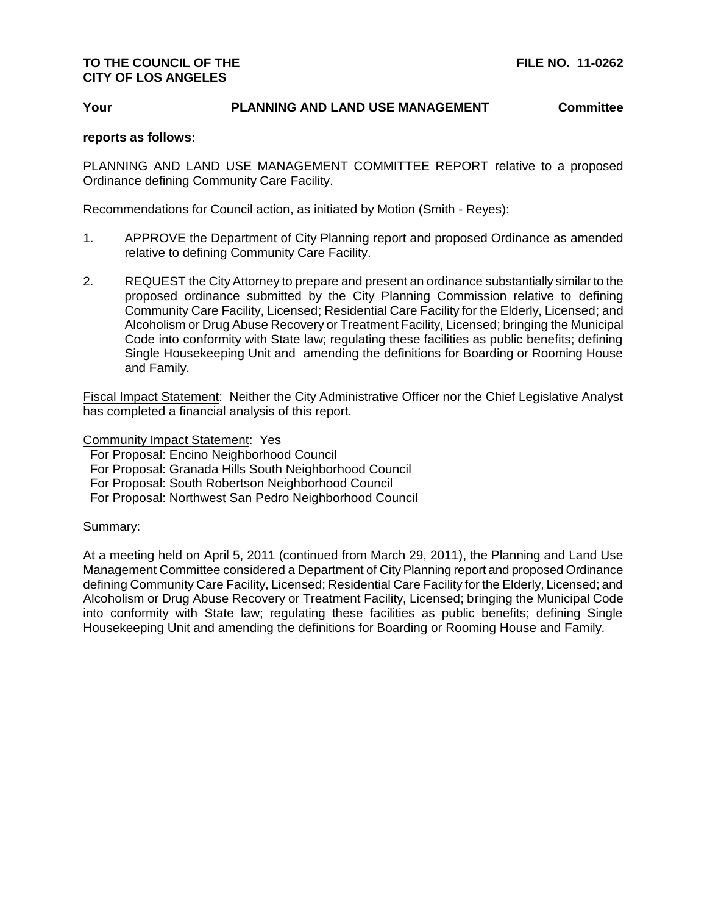## **TO THE COUNCIL OF THE FILE NO. 11-0262 CITY OF LOS ANGELES**

## **Your PLANNING AND LAND USE MANAGEMENT Committee**

## **reports as follows:**

PLANNING AND LAND USE MANAGEMENT COMMITTEE REPORT relative to a proposed Ordinance defining Community Care Facility.

Recommendations for Council action, as initiated by Motion (Smith - Reyes):

- 1. APPROVE the Department of City Planning report and proposed Ordinance as amended relative to defining Community Care Facility.
- 2. REQUEST the City Attorney to prepare and present an ordinance substantially similar to the proposed ordinance submitted by the City Planning Commission relative to defining Community Care Facility, Licensed; Residential Care Facility for the Elderly, Licensed; and Alcoholism or Drug Abuse Recovery or Treatment Facility, Licensed; bringing the Municipal Code into conformity with State law; regulating these facilities as public benefits; defining Single Housekeeping Unit and amending the definitions for Boarding or Rooming House and Family.

Fiscal Impact Statement: Neither the City Administrative Officer nor the Chief Legislative Analyst has completed a financial analysis of this report.

Community Impact Statement: Yes

For Proposal: Encino Neighborhood Council

For Proposal: Granada Hills South Neighborhood Council

For Proposal: South Robertson Neighborhood Council

For Proposal: Northwest San Pedro Neighborhood Council

## Summary:

At a meeting held on April 5, 2011 (continued from March 29, 2011), the Planning and Land Use Management Committee considered a Department of City Planning report and proposed Ordinance defining Community Care Facility, Licensed; Residential Care Facility for the Elderly, Licensed; and Alcoholism or Drug Abuse Recovery or Treatment Facility, Licensed; bringing the Municipal Code into conformity with State law; regulating these facilities as public benefits; defining Single Housekeeping Unit and amending the definitions for Boarding or Rooming House and Family.